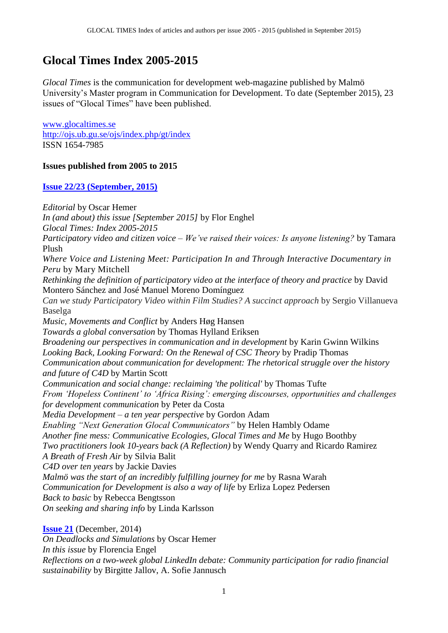# **Glocal Times Index 2005-2015**

*Glocal Times* is the communication for development web-magazine published by Malmö University's Master program in Communication for Development. To date (September 2015), 23 issues of "Glocal Times" have been published.

[www.glocaltimes.se](http://www.glocaltimes.se/) <http://ojs.ub.gu.se/ojs/index.php/gt/index> ISSN 1654-7985

## **Issues published from 2005 to 2015**

**[Issue 22/23 \(September, 2015\)](http://www.glocaltimes.se/)**

*Editorial* by Oscar Hemer *In (and about) this issue [September 2015]* by Flor Enghel *Glocal Times: Index 2005-2015 Participatory video and citizen voice – We've raised their voices: Is anyone listening?* by Tamara Plush *Where Voice and Listening Meet: Participation In and Through Interactive Documentary in Peru* by Mary Mitchell *Rethinking the definition of participatory video at the interface of theory and practice* by David Montero Sánchez and José Manuel Moreno Domínguez *Can we study Participatory Video within Film Studies? A succinct approach* by Sergio Villanueva Baselga *Music, Movements and Conflict* by Anders Høg Hansen *Towards a global conversation* by Thomas Hylland Eriksen *Broadening our perspectives in communication and in development* by Karin Gwinn Wilkins *Looking Back, Looking Forward: On the Renewal of CSC Theory* by Pradip Thomas *Communication about communication for development: The rhetorical struggle over the history and future of C4D* by Martin Scott *Communication and social change: reclaiming 'the political'* by Thomas Tufte *From 'Hopeless Continent' to 'Africa Rising': emerging discourses, opportunities and challenges for development communication* by Peter da Costa *Media Development – a ten year perspective* by Gordon Adam *Enabling "Next Generation Glocal Communicators"* by Helen Hambly Odame *Another fine mess: Communicative Ecologies, Glocal Times and Me* by Hugo Boothby *Two practitioners look 10-years back (A Reflection)* by Wendy Quarry and Ricardo Ramirez *A Breath of Fresh Air* by Silvia Balit *C4D over ten years* by Jackie Davies *Malmö was the start of an incredibly fulfilling journey for me* by Rasna Warah *Communication for Development is also a way of life* by Erliza Lopez Pedersen *Back to basic* by Rebecca Bengtsson *On seeking and sharing info* by Linda Karlsson

**[Issue 21](http://ojs.ub.gu.se/ojs/index.php/gt/issue/view/404)** (December, 2014) *On Deadlocks and Simulations* by Oscar Hemer *In this issue* by Florencia Engel *Reflections on a two-week global LinkedIn debate: Community participation for radio financial sustainability* by Birgitte Jallov, A. Sofie Jannusch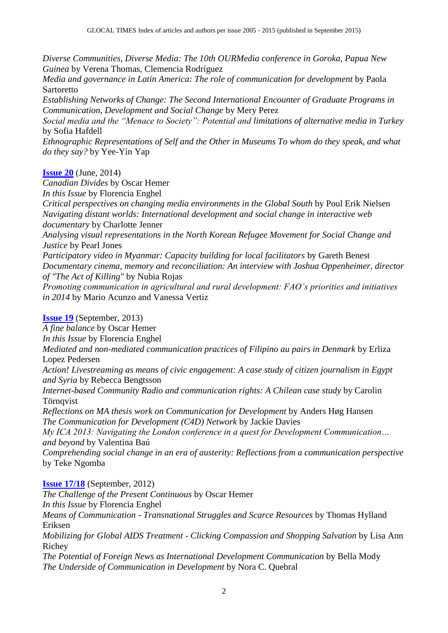*Diverse Communities, Diverse Media: The 10th OURMedia conference in Goroka, Papua New Guinea* by Verena Thomas, Clemencia Rodríguez

*Media and governance in Latin America: The role of communication for development* by Paola Sartoretto

*Establishing Networks of Change: The Second International Encounter of Graduate Programs in Communication, Development and Social Change* by Mery Perez

*Social media and the "Menace to Society": Potential and limitations of alternative media in Turkey* by Sofia Hafdell

*Ethnographic Representations of Self and the Other in Museums To whom do they speak, and what do they say?* by Yee-Yin Yap

#### **[Issue](http://ojs.ub.gu.se/ojs/index.php/gt/issue/view/386) 20** (June, 2014)

*Canadian Divides* by Oscar Hemer *In this Issue* by Florencia Enghel *Critical perspectives on changing media environments in the Global South* by Poul Erik Nielsen *Navigating distant worlds: International development and social change in interactive web documentary* by Charlotte Jenner *Analysing visual representations in the North Korean Refugee Movement for Social Change and Justice* by Pearl Jones *Participatory video in Myanmar: Capacity building for local facilitators* by Gareth Benest *Documentary cinema, memory and reconciliation: An interview with Joshua Oppenheimer, director of "The Act of Killing"* by Nubia Rojas *Promoting communication in agricultural and rural development: FAO's priorities and initiatives in 2014* by Mario Acunzo and Vanessa Vertiz

## **[Issue 19](http://ojs.ub.gu.se/ojs/index.php/gt/issue/view/354)** (September, 2013)

*A fine balance* by Oscar Hemer *In this Issue* by Florencia Enghel *Mediated and non-mediated communication practices of Filipino au pairs in Denmark* by Erliza Lopez Pedersen *Action! Livestreaming as means of civic engagement: A case study of citizen journalism in Egypt and Syria* by Rebecca Bengtsson *Internet-based Community Radio and communication rights: A Chilean case study* by Carolin **Törnqvist** *Reflections on MA thesis work on Communication for Development* by Anders Høg Hansen *The Communication for Development (C4D) Network* by Jackie Davies *My ICA 2013: Navigating the London conference in a quest for Development Communication… and beyond* by Valentina Baú *Comprehending social change in an era of austerity: Reflections from a communication perspective* by Teke Ngomba

## **[Issue 17/18](http://ojs.ub.gu.se/ojs/index.php/gt/issue/view/277)** (September, 2012)

*The Challenge of the Present Continuous* by Oscar Hemer *In this Issue* by Florencia Enghel *Means of Communication - Transnational Struggles and Scarce Resources* by Thomas Hylland Eriksen *Mobilizing for Global AIDS Treatment - Clicking Compassion and Shopping Salvation* by Lisa Ann Richey *The Potential of Foreign News as International Development Communication* by Bella Mody *The Underside of Communication in Development* by Nora C. Quebral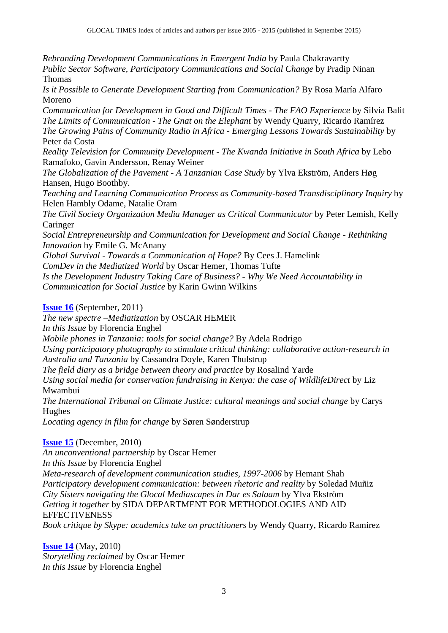*Rebranding Development Communications in Emergent India* by Paula Chakravartty *Public Sector Software, Participatory Communications and Social Change* by Pradip Ninan Thomas

*Is it Possible to Generate Development Starting from Communication?* By Rosa María Alfaro Moreno

*Communication for Development in Good and Difficult Times - The FAO Experience* by Silvia Balit *The Limits of Communication - The Gnat on the Elephant* by Wendy Quarry, Ricardo Ramírez *The Growing Pains of Community Radio in Africa - Emerging Lessons Towards Sustainability* by Peter da Costa

*Reality Television for Community Development - The Kwanda Initiative in South Africa* by Lebo Ramafoko, Gavin Andersson, Renay Weiner

*The Globalization of the Pavement - A Tanzanian Case Study* by Ylva Ekström, Anders Høg Hansen, Hugo Boothby.

*Teaching and Learning Communication Process as Community-based Transdisciplinary Inquiry* by Helen Hambly Odame, Natalie Oram

*The Civil Society Organization Media Manager as Critical Communicator* by Peter Lemish, Kelly Caringer

*Social Entrepreneurship and Communication for Development and Social Change - Rethinking Innovation* by Emile G. McAnany

*Global Survival - Towards a Communication of Hope?* By Cees J. Hamelink

*ComDev in the Mediatized World* by Oscar Hemer, Thomas Tufte

*Is the Development Industry Taking Care of Business? - Why We Need Accountability in Communication for Social Justice* by Karin Gwinn Wilkins

**[Issue 16](http://ojs.ub.gu.se/ojs/index.php/gt/issue/view/369)** (September, 2011)

*The new spectre –Mediatization* by OSCAR HEMER

*In this Issue* by Florencia Enghel

*Mobile phones in Tanzania: tools for social change?* By Adela Rodrigo

*Using participatory photography to stimulate critical thinking: collaborative action-research in Australia and Tanzania* by Cassandra Doyle, Karen Thulstrup

*The field diary as a bridge between theory and practice* by Rosalind Yarde

*Using social media for conservation fundraising in Kenya: the case of WildlifeDirect* by Liz Mwambui

*The International Tribunal on Climate Justice: cultural meanings and social change* by Carys Hughes

*Locating agency in film for change* by Søren Sønderstrup

## **[Issue 15](http://ojs.ub.gu.se/ojs/index.php/gt/issue/view/368)** (December, 2010)

*An unconventional partnership* by Oscar Hemer

*In this Issue* by Florencia Enghel

*Meta-research of development communication studies, 1997-2006* by Hemant Shah *Participatory development communication: between rhetoric and reality* by Soledad Muñiz *City Sisters navigating the Glocal Mediascapes in Dar es Salaam* by Ylva Ekström *Getting it together* by SIDA DEPARTMENT FOR METHODOLOGIES AND AID **EFFECTIVENESS** 

*Book critique by Skype: academics take on practitioners* by Wendy Quarry, Ricardo Ramirez

**[Issue 14](http://ojs.ub.gu.se/ojs/index.php/gt/issue/view/367)** (May, 2010) *Storytelling reclaimed* by Oscar Hemer *In this Issue* by Florencia Enghel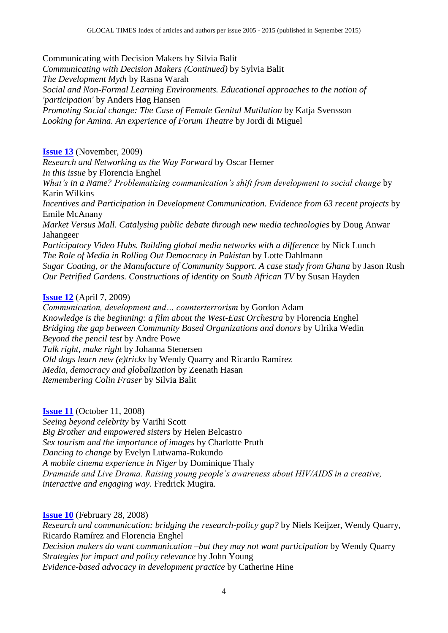Communicating with Decision Makers by Silvia Balit *Communicating with Decision Makers (Continued)* by Sylvia Balit *The Development Myth* by Rasna Warah *Social and Non-Formal Learning Environments. Educational approaches to the notion of 'participation'* by Anders Høg Hansen *Promoting Social change: The Case of Female Genital Mutilation* by Katja Svensson *Looking for Amina. An experience of Forum Theatre* by Jordi di Miguel

## **[Issue 13](http://ojs.ub.gu.se/ojs/index.php/gt/issue/view/366)** (November, 2009)

*Research and Networking as the Way Forward* by Oscar Hemer *In this issue* by Florencia Enghel *What's in a Name? Problematizing communication's shift from development to social change* by Karin Wilkins *Incentives and Participation in Development Communication. Evidence from 63 recent projects* by Emile McAnany *Market Versus Mall. Catalysing public debate through new media technologies* by Doug Anwar Jahangeer *Participatory Video Hubs. Building global media networks with a difference* by Nick Lunch *The Role of Media in Rolling Out Democracy in Pakistan* by Lotte Dahlmann *Sugar Coating, or the Manufacture of Community Support. A case study from Ghana* by Jason Rush *Our Petrified Gardens. Constructions of identity on South African TV* by Susan Hayden

## **[Issue 12](http://ojs.ub.gu.se/ojs/index.php/gt/issue/view/365)** (April 7, 2009)

*Communication, development and… counterterrorism* by Gordon Adam *Knowledge is the beginning: a film about the West-East Orchestra* by Florencia Enghel *Bridging the gap between Community Based Organizations and donors* by Ulrika Wedin *Beyond the pencil test* by Andre Powe *Talk right, make right* by Johanna Stenersen *Old dogs learn new (e)tricks* by Wendy Quarry and Ricardo Ramírez *Media, democracy and globalization* by Zeenath Hasan *Remembering Colin Fraser* by Silvia Balit

## **[Issue 11](http://ojs.ub.gu.se/ojs/index.php/gt/issue/view/364)** (October 11, 2008)

*Seeing beyond celebrity* by Varihi Scott *Big Brother and empowered sisters* by Helen Belcastro *Sex tourism and the importance of images* by Charlotte Pruth *Dancing to change* by Evelyn Lutwama-Rukundo *A mobile cinema experience in Niger* by Dominique Thaly *Dramaide and Live Drama. Raising young people's awareness about HIV/AIDS in a creative, interactive and engaging way.* Fredrick Mugira.

**[Issue 10](http://ojs.ub.gu.se/ojs/index.php/gt/issue/view/363)** (February 28, 2008)

*Research and communication: bridging the research-policy gap?* by Niels Keijzer, Wendy Quarry, Ricardo Ramírez and Florencia Enghel *Decision makers do want communication –but they may not want participation* by Wendy Quarry *Strategies for impact and policy relevance* by John Young *Evidence-based advocacy in development practice* by Catherine Hine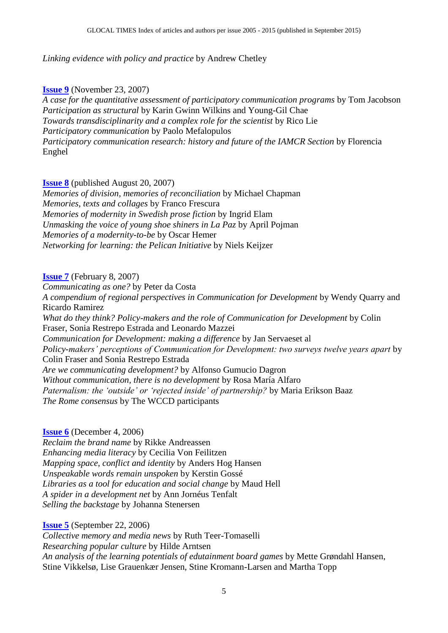## *Linking evidence with policy and practice* by Andrew Chetley

## **[Issue 9](http://ojs.ub.gu.se/ojs/index.php/gt/issue/view/362)** (November 23, 2007)

*A case for the quantitative assessment of participatory communication programs* by Tom Jacobson *Participation as structural* by Karin Gwinn Wilkins and Young-Gil Chae *Towards transdisciplinarity and a complex role for the scientist* by Rico Lie *Participatory communication* by Paolo Mefalopulos *Participatory communication research: history and future of the IAMCR Section* by Florencia Enghel

#### **[Issue 8](http://ojs.ub.gu.se/ojs/index.php/gt/issue/view/361)** (published August 20, 2007)

*Memories of division, memories of reconciliation* by Michael Chapman *Memories, texts and collages* by Franco Frescura *Memories of modernity in Swedish prose fiction* by Ingrid Elam *Unmasking the voice of young shoe shiners in La Paz* by April Pojman *Memories of a modernity-to-be* by Oscar Hemer *Networking for learning: the Pelican Initiative* by Niels Keijzer

#### **[Issue 7](http://ojs.ub.gu.se/ojs/index.php/gt/issue/view/360)** (February 8, 2007)

*Communicating as one?* by Peter da Costa *A compendium of regional perspectives in Communication for Development* by Wendy Quarry and Ricardo Ramirez *What do they think? Policy-makers and the role of Communication for Development* by Colin Fraser, Sonia Restrepo Estrada and Leonardo Mazzei *Communication for Development: making a difference* by Jan Servaeset al *Policy-makers' perceptions of Communication for Development: two surveys twelve years apart* by Colin Fraser and Sonia Restrepo Estrada *Are we communicating development?* by Alfonso Gumucio Dagron *Without communication, there is no development* by Rosa María Alfaro *Paternalism: the 'outside' or 'rejected inside' of partnership?* by Maria Erikson Baaz *The Rome consensus* by The WCCD participants

#### **[Issue 6](http://ojs.ub.gu.se/ojs/index.php/gt/issue/view/358)** (December 4, 2006)

*Reclaim the brand name* by Rikke Andreassen *Enhancing media literacy* by Cecilia Von Feilitzen *Mapping space, conflict and identity* by Anders Hog Hansen *Unspeakable words remain unspoken* by Kerstin Gossé *Libraries as a tool for education and social change* by Maud Hell *A spider in a development net* by Ann Jornéus Tenfalt *Selling the backstage* by Johanna Stenersen

#### **[Issue 5](http://ojs.ub.gu.se/ojs/index.php/gt/issue/view/357)** (September 22, 2006)

*Collective memory and media news* by Ruth Teer-Tomaselli *Researching popular culture* by Hilde Arntsen *An analysis of the learning potentials of edutainment board games* by Mette Grøndahl Hansen, Stine Vikkelsø, Lise Grauenkær Jensen, Stine Kromann-Larsen and Martha Topp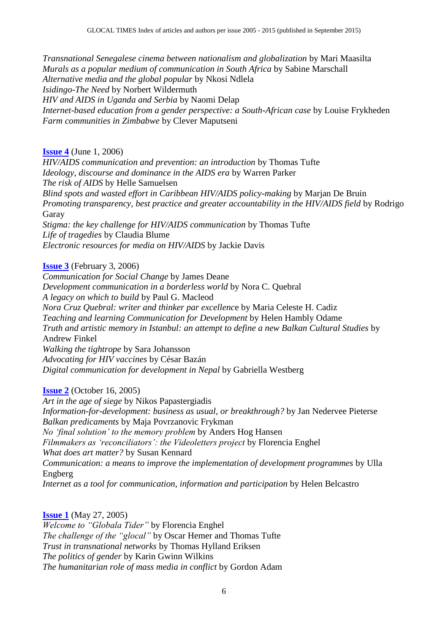*Transnational Senegalese cinema between nationalism and globalization* by Mari Maasilta *Murals as a popular medium of communication in South Africa* by Sabine Marschall *Alternative media and the global popular* by Nkosi Ndlela *Isidingo-The Need* by Norbert Wildermuth *HIV and AIDS in Uganda and Serbia* by Naomi Delap *Internet-based education from a gender perspective: a South-African case* by Louise Frykheden *Farm communities in Zimbabwe* by Clever Maputseni

## **[Issue 4](http://ojs.ub.gu.se/ojs/index.php/gt/issue/view/356)** (June 1, 2006)

*HIV/AIDS communication and prevention: an introduction* by Thomas Tufte *Ideology, discourse and dominance in the AIDS era* by Warren Parker *The risk of AIDS* by Helle Samuelsen *Blind spots and wasted effort in Caribbean HIV/AIDS policy-making* by Marjan De Bruin *Promoting transparency, best practice and greater accountability in the HIV/AIDS field* by Rodrigo Garay *Stigma: the key challenge for HIV/AIDS communication* by Thomas Tufte *Life of tragedies* by Claudia Blume *Electronic resources for media on HIV/AIDS* by Jackie Davis

**[Issue 3](http://ojs.ub.gu.se/ojs/index.php/gt/issue/view/355)** (February 3, 2006)

*Communication for Social Change* by James Deane *Development communication in a borderless world* by Nora C. Quebral *A legacy on which to build* by Paul G. Macleod *Nora Cruz Quebral: writer and thinker par excellenc*e by Maria Celeste H. Cadiz *Teaching and learning Communication for Development* by Helen Hambly Odame *Truth and artistic memory in Istanbul: an attempt to define a new Balkan Cultural Studies* by Andrew Finkel *Walking the tightrope* by Sara Johansson *Advocating for HIV vaccines* by César Bazán *Digital communication for development in Nepal* by Gabriella Westberg

#### **[Issue 2](http://ojs.ub.gu.se/ojs/index.php/gt/issue/view/291)** (October 16, 2005)

*Art in the age of siege* by Nikos Papastergiadis *Information-for-development: business as usual, or breakthrough?* by Jan Nedervee Pieterse *Balkan predicaments* by Maja Povrzanovic Frykman *No 'final solution' to the memory problem* by Anders Hog Hansen *Filmmakers as 'reconciliators': the Videoletters project* by Florencia Enghel *What does art matter?* by Susan Kennard *Communication: a means to improve the implementation of development programmes* by Ulla Engberg *Internet as a tool for communication, information and participation* by Helen Belcastro

**[Issue 1](http://ojs.ub.gu.se/ojs/index.php/gt/issue/view/286)** (May 27, 2005) *Welcome to "Globala Tider"* by Florencia Enghel *The challenge of the "glocal"* by Oscar Hemer and Thomas Tufte *Trust in transnational networks* by Thomas Hylland Eriksen *The politics of gender* by Karin Gwinn Wilkins *The humanitarian role of mass media in conflict* by Gordon Adam